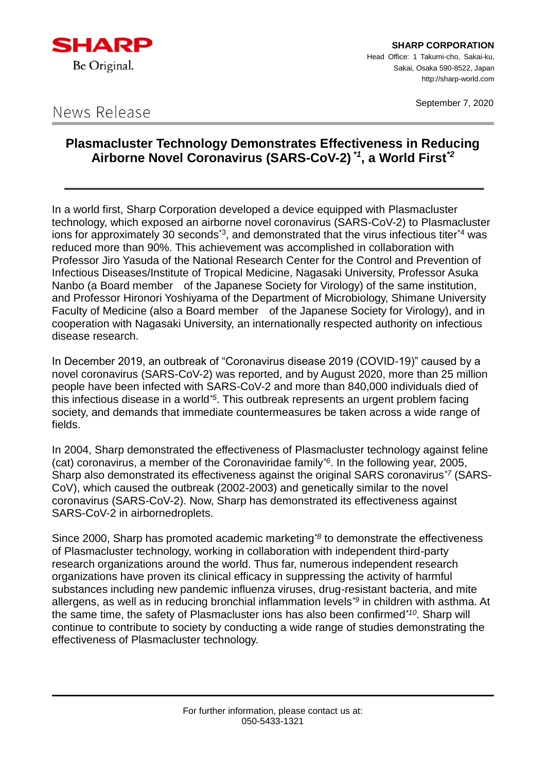

**SHARP CORPORATION** Head Office: 1 Takumi-cho, Sakai-ku, Sakai, Osaka 590-8522, Japan http://sharp-world.com

September 7, 2020

# News Release

## **Plasmacluster Technology Demonstrates Effectiveness in Reducing Airborne Novel Coronavirus (SARS-CoV-2)** *\*1***, a World First***\*2*

In a world first, Sharp Corporation developed a device equipped with Plasmacluster technology, which exposed an airborne novel coronavirus (SARS-CoV-2) to Plasmacluster ions for approximately 30 seconds<sup>3</sup>, and demonstrated that the virus infectious titer<sup>4</sup> was reduced more than 90%. This achievement was accomplished in collaboration with Professor Jiro Yasuda of the National Research Center for the Control and Prevention of Infectious Diseases/Institute of Tropical Medicine, Nagasaki University, Professor Asuka Nanbo (a Board member of the Japanese Society for Virology) of the same institution, and Professor Hironori Yoshiyama of the Department of Microbiology, Shimane University Faculty of Medicine (also a Board member of the Japanese Society for Virology), and in cooperation with Nagasaki University, an internationally respected authority on infectious disease research.

In December 2019, an outbreak of "Coronavirus disease 2019 (COVID-19)" caused by a novel coronavirus (SARS-CoV-2) was reported, and by August 2020, more than 25 million people have been infected with SARS-CoV-2 and more than 840,000 individuals died of this infectious disease in a world*\*5*. This outbreak represents an urgent problem facing society, and demands that immediate countermeasures be taken across a wide range of fields.

In 2004, Sharp demonstrated the effectiveness of Plasmacluster technology against feline (cat) coronavirus, a member of the Coronaviridae family*\*6*. In the following year, 2005, Sharp also demonstrated its effectiveness against the original SARS coronavirus*\*7* (SARS-CoV), which caused the outbreak (2002-2003) and genetically similar to the novel coronavirus (SARS-CoV-2). Now, Sharp has demonstrated its effectiveness against SARS-CoV-2 in airbornedroplets.

Since 2000, Sharp has promoted academic marketing*\*8* to demonstrate the effectiveness of Plasmacluster technology, working in collaboration with independent third-party research organizations around the world. Thus far, numerous independent research organizations have proven its clinical efficacy in suppressing the activity of harmful substances including new pandemic influenza viruses, drug-resistant bacteria, and mite allergens, as well as in reducing bronchial inflammation levels*\*9* in children with asthma. At the same time, the safety of Plasmacluster ions has also been confirmed*\*10*. Sharp will continue to contribute to society by conducting a wide range of studies demonstrating the effectiveness of Plasmacluster technology.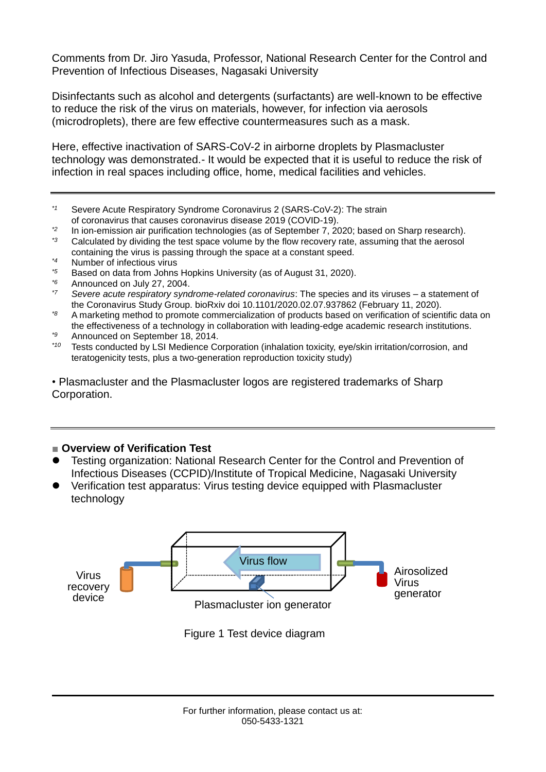Comments from Dr. Jiro Yasuda, Professor, National Research Center for the Control and Prevention of Infectious Diseases, Nagasaki University

Disinfectants such as alcohol and detergents (surfactants) are well-known to be effective to reduce the risk of the virus on materials, however, for infection via aerosols (microdroplets), there are few effective countermeasures such as a mask.

Here, effective inactivation of SARS-CoV-2 in airborne droplets by Plasmacluster technology was demonstrated.- It would be expected that it is useful to reduce the risk of infection in real spaces including office, home, medical facilities and vehicles.

- *\*1* Severe Acute Respiratory Syndrome Coronavirus 2 (SARS-CoV-2): The strain of coronavirus that causes coronavirus disease 2019 (COVID-19).
- <sup>\*2</sup> In ion-emission air purification technologies (as of September 7, 2020; based on Sharp research).<br><sup>\*3</sup> Celeviated by dividing the test appea volume by the flow researchy rate, accuming that the economic
- Calculated by dividing the test space volume by the flow recovery rate, assuming that the aerosol containing the virus is passing through the space at a constant speed.
- *\*4* Number of infectious virus
- *\*5* Based on data from Johns Hopkins University (as of August 31, 2020).
- <sup>\*6</sup> Announced on July 27, 2004.
- *\*7 Severe acute respiratory syndrome-related coronavirus*: The species and its viruses a statement of the Coronavirus Study Group. bioRxiv doi 10.1101/2020.02.07.937862 (February 11, 2020).
- *\*8* A marketing method to promote commercialization of products based on verification of scientific data on the effectiveness of a technology in collaboration with leading-edge academic research institutions.
- *\*9* Announced on September 18, 2014.
- Tests conducted by LSI Medience Corporation (inhalation toxicity, eye/skin irritation/corrosion, and teratogenicity tests, plus a two-generation reproduction toxicity study)

• Plasmacluster and the Plasmacluster logos are registered trademarks of Sharp Corporation.

#### ■ **Overview of Verification Test**

- Testing organization: National Research Center for the Control and Prevention of Infectious Diseases (CCPID)/Institute of Tropical Medicine, Nagasaki University
- Verification test apparatus: Virus testing device equipped with Plasmacluster technology



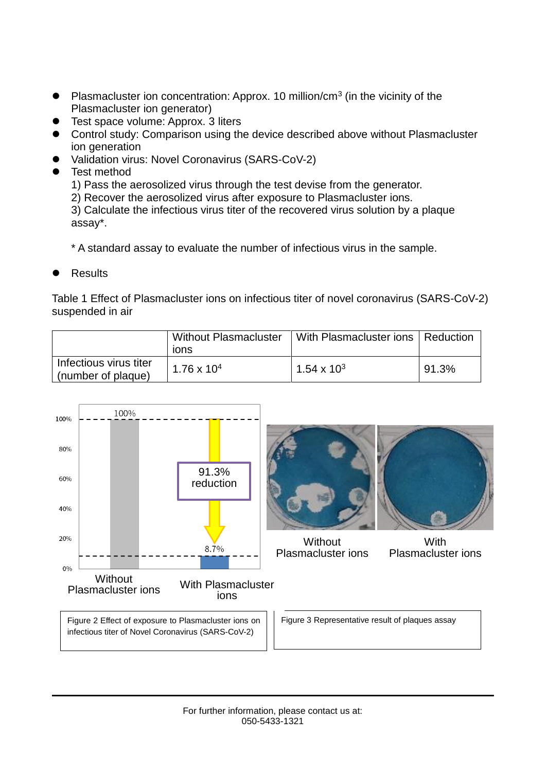- Plasmacluster ion concentration: Approx. 10 million/cm<sup>3</sup> (in the vicinity of the Plasmacluster ion generator)
- **•** Test space volume: Approx. 3 liters
- Control study: Comparison using the device described above without Plasmacluster ion generation
- Validation virus: Novel Coronavirus (SARS-CoV-2)
- Test method

1) Pass the aerosolized virus through the test devise from the generator.

2) Recover the aerosolized virus after exposure to Plasmacluster ions.

3) Calculate the infectious virus titer of the recovered virus solution by a plaque assay\*.

\* A standard assay to evaluate the number of infectious virus in the sample.

**Results** 

Table 1 Effect of Plasmacluster ions on infectious titer of novel coronavirus (SARS-CoV-2) suspended in air

|                                              | <b>Without Plasmacluster</b><br><b>IONS</b> | With Plasmacluster ions   Reduction |       |
|----------------------------------------------|---------------------------------------------|-------------------------------------|-------|
| Infectious virus titer<br>(number of plaque) | $1.76 \times 10^{4}$                        | $1.54 \times 10^{3}$                | 91.3% |

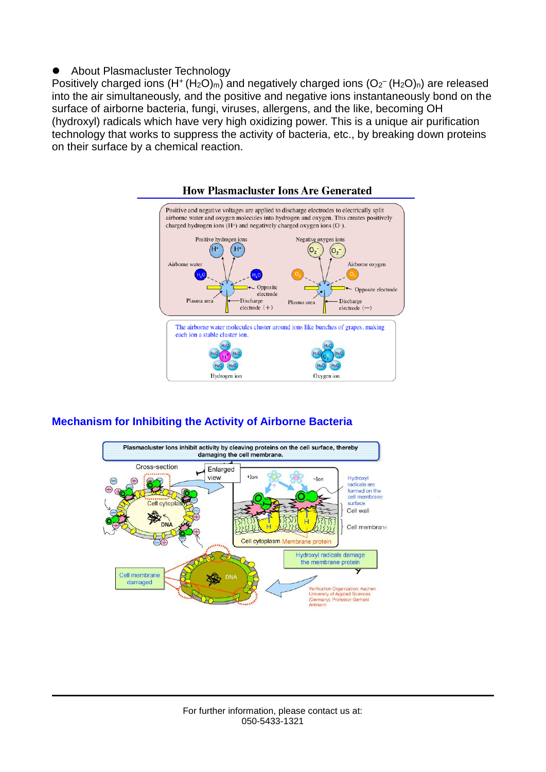#### ● About Plasmacluster Technology

Positively charged ions  $(H^+(H_2O)<sub>m</sub>)$  and negatively charged ions  $(O_2-(H_2O)<sub>n</sub>)$  are released into the air simultaneously, and the positive and negative ions instantaneously bond on the surface of airborne bacteria, fungi, viruses, allergens, and the like, becoming OH (hydroxyl) radicals which have very high oxidizing power. This is a unique air purification technology that works to suppress the activity of bacteria, etc., by breaking down proteins on their surface by a chemical reaction.



### **Mechanism for Inhibiting the Activity of Airborne Bacteria**

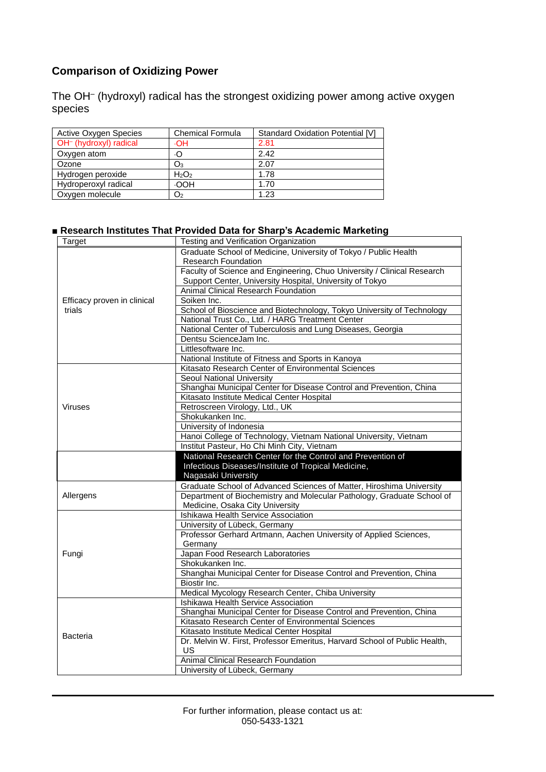### **Comparison of Oxidizing Power**

The OH– (hydroxyl) radical has the strongest oxidizing power among active oxygen species

| <b>Active Oxygen Species</b>       | <b>Chemical Formula</b> | <b>Standard Oxidation Potential [V]</b> |
|------------------------------------|-------------------------|-----------------------------------------|
| OH <sup>-</sup> (hydroxyl) radical | ٠OH                     | 2.81                                    |
| Oxygen atom                        | ٠O                      | 2.42                                    |
| Ozone                              | O3                      | 2.07                                    |
| Hydrogen peroxide                  | $H_2O_2$                | 1.78                                    |
| Hydroperoxyl radical               | <b>OOH</b>              | 1.70                                    |
| Oxygen molecule                    | O2                      | 1.23                                    |

#### **■ Research Institutes That Provided Data for Sharp's Academic Marketing**

| Target                      | Testing and Verification Organization                                     |  |
|-----------------------------|---------------------------------------------------------------------------|--|
|                             | Graduate School of Medicine, University of Tokyo / Public Health          |  |
|                             | <b>Research Foundation</b>                                                |  |
|                             | Faculty of Science and Engineering, Chuo University / Clinical Research   |  |
|                             | Support Center, University Hospital, University of Tokyo                  |  |
|                             | Animal Clinical Research Foundation                                       |  |
| Efficacy proven in clinical | Soiken Inc.                                                               |  |
| trials                      | School of Bioscience and Biotechnology, Tokyo University of Technology    |  |
|                             | National Trust Co., Ltd. / HARG Treatment Center                          |  |
|                             | National Center of Tuberculosis and Lung Diseases, Georgia                |  |
|                             | Dentsu ScienceJam Inc.                                                    |  |
|                             | Littlesoftware Inc.                                                       |  |
|                             | National Institute of Fitness and Sports in Kanoya                        |  |
|                             | Kitasato Research Center of Environmental Sciences                        |  |
|                             | Seoul National University                                                 |  |
|                             | Shanghai Municipal Center for Disease Control and Prevention, China       |  |
|                             | Kitasato Institute Medical Center Hospital                                |  |
| <b>Viruses</b>              | Retroscreen Virology, Ltd., UK                                            |  |
|                             | Shokukanken Inc.                                                          |  |
|                             | University of Indonesia                                                   |  |
|                             | Hanoi College of Technology, Vietnam National University, Vietnam         |  |
|                             | Institut Pasteur, Ho Chi Minh City, Vietnam                               |  |
|                             | National Research Center for the Control and Prevention of                |  |
|                             | Infectious Diseases/Institute of Tropical Medicine,                       |  |
|                             | Nagasaki University                                                       |  |
|                             | Graduate School of Advanced Sciences of Matter, Hiroshima University      |  |
| Allergens                   | Department of Biochemistry and Molecular Pathology, Graduate School of    |  |
|                             | Medicine, Osaka City University                                           |  |
|                             | Ishikawa Health Service Association                                       |  |
|                             | University of Lübeck, Germany                                             |  |
|                             | Professor Gerhard Artmann, Aachen University of Applied Sciences,         |  |
|                             | Germany                                                                   |  |
| Fungi                       | Japan Food Research Laboratories                                          |  |
|                             | Shokukanken Inc.                                                          |  |
|                             | Shanghai Municipal Center for Disease Control and Prevention, China       |  |
|                             | Biostir Inc.                                                              |  |
|                             | Medical Mycology Research Center, Chiba University                        |  |
|                             | Ishikawa Health Service Association                                       |  |
| <b>Bacteria</b>             | Shanghai Municipal Center for Disease Control and Prevention, China       |  |
|                             | Kitasato Research Center of Environmental Sciences                        |  |
|                             | Kitasato Institute Medical Center Hospital                                |  |
|                             | Dr. Melvin W. First, Professor Emeritus, Harvard School of Public Health, |  |
|                             | <b>US</b>                                                                 |  |
|                             | Animal Clinical Research Foundation                                       |  |
|                             | University of Lübeck, Germany                                             |  |